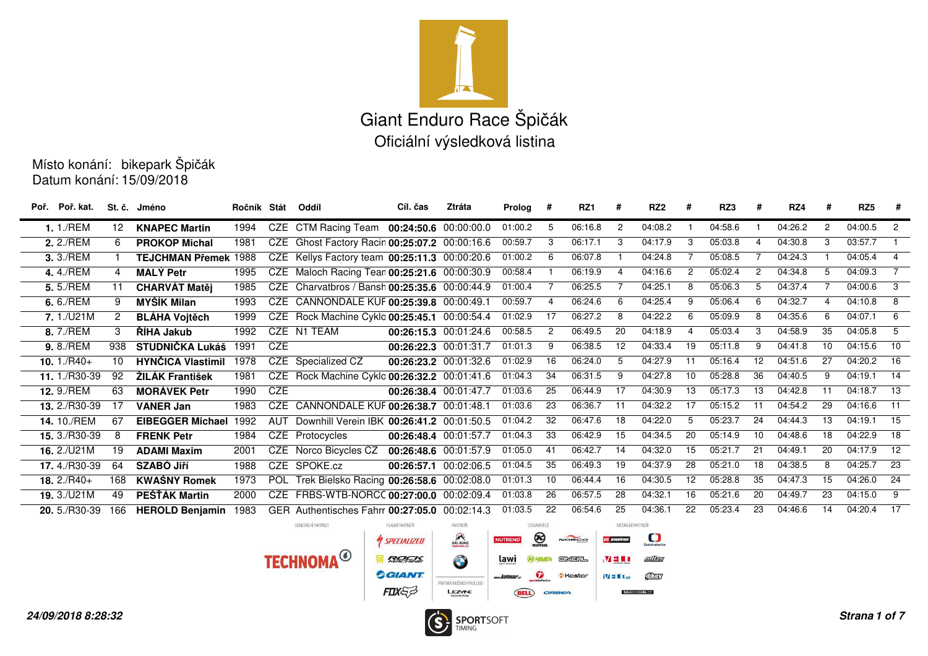

Datum konání: 15/09/2018Místo konání: bikepark Špičák

| Poř. Poř. kat. |                      | St. č. Jméno                 | Ročník Stát |            | Oddíl                                         | Cíl. čas           | Ztráta                  | Prolog #       |                   | RZ1           | #                  | RZ <sub>2</sub>   | #               | RZ3     | #               | RZ4     | #              | RZ <sub>5</sub> | - #                       |
|----------------|----------------------|------------------------------|-------------|------------|-----------------------------------------------|--------------------|-------------------------|----------------|-------------------|---------------|--------------------|-------------------|-----------------|---------|-----------------|---------|----------------|-----------------|---------------------------|
| 1.1./REM       | 12                   | <b>KNAPEC Martin</b>         | 1994        |            | CZE CTM Racing Team 00:24:50.6 00:00:00.0     |                    |                         | 01:00.2        | 5                 | 06:16.8       | $\overline{c}$     | 04:08.2           |                 | 04:58.6 |                 | 04:26.2 | $\overline{2}$ | 04:00.5         | $\overline{2}$            |
| 2. 2./REM      | 6                    | <b>PROKOP Michal</b>         | 1981        |            | CZE Ghost Factory Racin 00:25:07.2 00:00:16.6 |                    |                         | 00:59.7        | -3                | 06:17.1       | 3                  | 04:17.9           | 3               | 05:03.8 | 4               | 04:30.8 | 3              | 03:57.7         |                           |
| 3.3./REM       |                      | <b>TEJCHMAN Přemek 1988</b>  |             |            | CZE Kellys Factory team 00:25:11.3 00:00:20.6 |                    |                         | 01:00.2        | - 6               | 06:07.8       |                    | 04:24.8           | 7               | 05:08.5 |                 | 04:24.3 |                | 04:05.4         | $\overline{4}$            |
| 4.4./REM       | 4                    | <b>MALÝ Petr</b>             | 1995        |            | CZE Maloch Racing Tean 00:25:21.6 00:00:30.9  |                    |                         | 00:58.4        |                   | 06:19.9       | $\overline{4}$     | 04:16.6           | $\overline{2}$  | 05:02.4 | $\overline{2}$  | 04:34.8 | 5              | 04:09.3         | $\overline{7}$            |
| 5.5./REM       | 11                   | <b>CHARVÁT Matěj</b>         | 1985        |            | CZE Charvatbros / Bansh 00:25:35.6 00:00:44.9 |                    |                         | 01:00.4        |                   | 06:25.5       |                    | 04:25.1           | 8               | 05:06.3 | 5               | 04:37.4 |                | 04:00.6         | $\overline{\phantom{a}3}$ |
| 6.6./REM       | 9                    | <b>MYŠÍK Milan</b>           | 1993        |            | CZE CANNONDALE KUF 00:25:39.8 00:00:49.1      |                    |                         | 00:59.7        | 4                 | 06:24.6       | 6                  | 04:25.4           | 9               | 05:06.4 | 6               | 04:32.7 | 4              | 04:10.8         | 8                         |
| 7.1./U21M      | $\mathbf{2}^{\circ}$ | <b>BLÁHA Vojtěch</b>         | 1999        |            | CZE Rock Machine Cyklo 00:25:45.1 00:00:54.4  |                    |                         | 01:02.9        | 17                | 06:27.2       | - 8                | 04:22.2           | -6              | 05:09.9 | 8               | 04:35.6 | 6              | 04:07.1         | $-6$                      |
| 8.7./REM       | 3                    | <b>RIHA Jakub</b>            | 1992        |            | CZE N1 TEAM                                   |                    | 00:26:15.3 00:01:24.6   | 00:58.5        | $\overline{2}$    | 06:49.5       | 20                 | 04:18.9           | $\overline{4}$  | 05:03.4 | 3               | 04:58.9 | 35             | 04:05.8         | - 5                       |
| 9.8./REM       | 938                  | STUDNIČKA Lukáš 1991         |             | <b>CZE</b> |                                               |                    | 00:26:22.3 00:01:31.7   | 01:01.3        | -9                | 06:38.5       | 12                 | 04:33.4           | 19              | 05:11.8 | 9               | 04:41.8 | 10             | 04:15.6         | $\overline{10}$           |
| 10. $1./R40+$  | 10                   | <b>HYNČICA Vlastimil</b>     | 1978        |            | CZE Specialized CZ                            |                    | 00:26:23.2 00:01:32.6   | 01:02.9        | 16                | 06:24.0       | 5                  | 04:27.9           | 11              | 05:16.4 | 12              | 04:51.6 | 27             | $04:20.2$ 16    |                           |
| 11. 1./R30-39  | 92                   | <b>ŽILÁK František</b>       | 1981        |            | CZE Rock Machine Cyklo 00:26:32.2 00:01:41.6  |                    |                         | 01:04.3        | 34                | 06:31.5       | 9                  | 04:27.8           | 10              | 05:28.8 | 36              | 04:40.5 | 9              | 04:19.1         | $\overline{14}$           |
| 12.9./REM      | 63                   | <b>MORÁVEK Petr</b>          | 1990        | <b>CZE</b> |                                               |                    | 00:26:38.4 00:01:47.7   | 01:03.6        | 25                | 06:44.9       | 17                 | 04:30.9           | 13              | 05:17.3 | 13              | 04:42.8 | 11             | $04:18.7$ 13    |                           |
| 13. 2./R30-39  | 17                   | <b>VANER Jan</b>             | 1983        |            | CZE CANNONDALE KUF 00:26:38.7 00:01:48.1      |                    |                         | 01:03.6        | 23                | 06:36.7       | 11                 | 04:32.2           | 17              | 05:15.2 | 11              | 04:54.2 | 29             | 04:16.6         | 11                        |
| 14.10./REM     | 67                   | <b>EIBEGGER Michael 1992</b> |             | AUT        | Downhill Verein IBK 00:26:41.2 00:01:50.5     |                    |                         | 01:04.2        | 32                | 06:47.6       | 18                 | 04:22.0           | -5              | 05:23.7 | 24              | 04:44.3 | 13             | 04:19.1         | $\overline{15}$           |
| 15. 3./R30-39  | 8                    | <b>FRENK Petr</b>            | 1984        |            | CZE Protocycles                               |                    | 00:26:48.4 00:01:57.7   | 01:04.3        | 33                | 06:42.9       | 15                 | 04:34.5           | 20              | 05:14.9 | 10              | 04:48.6 | 18             | 04:22.9         | $\overline{18}$           |
| 16. 2./U21M    | 19                   | <b>ADAMI Maxim</b>           | 2001        |            | CZE Norco Bicycles CZ 00:26:48.6 00:01:57.9   |                    |                         | 01:05.0        | 41                | 06:42.7       | 14                 | 04:32.0           | 15              | 05:21.7 | 21              | 04:49.1 | 20             | 04:17.9         | $\overline{12}$           |
| 17.4./R30-39   | 64                   | <b>SZABÓ Jiří</b>            | 1988        |            | CZE SPOKE.cz                                  |                    | 00:26:57.1 00:02:06.5   | 01:04.5        | $\overline{35}$   | 06:49.3       | 19                 | 04:37.9           | 28              | 05:21.0 | 18              | 04:38.5 | 8              | 04:25.7         | $\overline{23}$           |
| $18.2/R40+$    | 168                  | <b>KWAŚNY Romek</b>          | 1973        |            | POL Trek Bielsko Racing 00:26:58.6 00:02:08.0 |                    |                         | 01:01.3        | 10                | 06:44.4       | 16                 | 04:30.5           | $\overline{12}$ | 05:28.8 | $\overline{35}$ | 04:47.3 | 15             | 04:26.0         | $\overline{24}$           |
| 19. 3./U21M    | 49                   | PEŠŤÁK Martin                | 2000        |            | CZE FRBS-WTB-NORCC 00:27:00.0 00:02:09.4      |                    |                         | 01:03.8        | $\overline{26}$   | 06:57.5       | 28                 | 04:32.1           | 16              | 05:21.6 | 20              | 04:49.7 | 23             | 04:15.0         | $\overline{9}$            |
| 20. 5./R30-39  | 166                  | <b>HEROLD Benjamin</b>       | 1983        |            | GER Authentisches Fahrr 00:27:05.0            |                    | 00:02:14.3              | 01:03.5        | 22                | 06:54.6       | 25                 | 04:36.1           | 22              | 05:23.4 | 23              | 04:46.6 | 14             | $04:20.4$ 17    |                           |
|                |                      |                              |             |            | GENERÁLNÍ PARTNER                             | HLAVNÍ PARTNEŘI    | PARTNER                 |                | <b>DODAVATELE</b> |               | MEDIALNÍ PARTNEŘI  |                   |                 |         |                 |         |                |                 |                           |
|                |                      |                              |             |            |                                               | <b>SPECIALIZED</b> | SKI BIKE                | <b>NUTREND</b> | $\bigotimes$      | NOROO         | <b>по ріпноїне</b> | $\mathbf{\Omega}$ |                 |         |                 |         |                |                 |                           |
|                |                      |                              |             |            | <b>TECHNOMA<sup>O</sup></b>                   | ROEK               | $\bullet$               | lawi           | <b>PA) HAMEN</b>  | <b>ENERL</b>  | <b>VEEL</b>        | 回信号               |                 |         |                 |         |                |                 |                           |
|                |                      |                              |             |            |                                               | <b>GLANT</b>       | PARTNER NOONICH PROLOGÚ | <b>Matmar</b>  | $\bullet$         | <b>Kastar</b> | <b>ivi = El.cz</b> | Chay              |                 |         |                 |         |                |                 |                           |

LEZWE

**BELL** ORBEA

bikeandride.cz

FIXES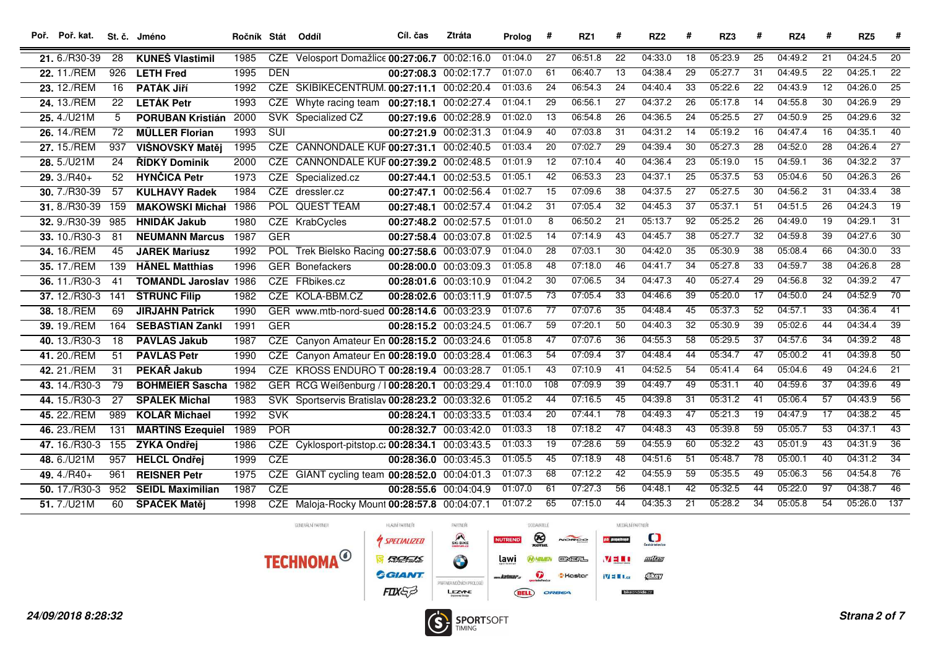| Poř. Poř. kat. St. č. Jméno |     |                              | Ročník Stát Oddíl |                  |                                                 | Cíl. čas              | Ztráta | Prolog  | #               | RZ1     | #               | RZ <sub>2</sub> | #               | RZ3     | #               | RZ4     | #               | RZ <sub>5</sub> | #                |
|-----------------------------|-----|------------------------------|-------------------|------------------|-------------------------------------------------|-----------------------|--------|---------|-----------------|---------|-----------------|-----------------|-----------------|---------|-----------------|---------|-----------------|-----------------|------------------|
| 21.6./R30-39                | 28  | <b>KUNEŠ Vlastimil</b>       | 1985              |                  | CZE Velosport Domažlice 00:27:06.7 00:02:16.0   |                       |        | 01:04.0 | 27              | 06:51.8 | $\overline{22}$ | 04:33.0         | $\overline{18}$ | 05:23.9 | $\overline{25}$ | 04:49.2 | $\overline{21}$ | 04:24.5         | $\overline{20}$  |
| 22. 11./REM                 | 926 | <b>LETH Fred</b>             | 1995              | <b>DEN</b>       |                                                 | 00:27:08.3 00:02:17.7 |        | 01:07.0 | 61              | 06:40.7 | 13              | 04:38.4         | 29              | 05:27.7 | $\overline{31}$ | 04:49.5 | $\overline{22}$ | 04:25.1         | $\overline{22}$  |
| 23. 12./REM                 | 16  | <b>PATÁK JIří</b>            | 1992              |                  | CZE SKIBIKECENTRUM. 00:27:11.1 00:02:20.4       |                       |        | 01:03.6 | 24              | 06:54.3 | 24              | 04:40.4         | 33              | 05:22.6 | $\overline{22}$ | 04:43.9 | 12              | 04:26.0         | $\overline{25}$  |
| 24. 13./REM                 | 22  | <b>LETÁK Petr</b>            | 1993              |                  | CZE Whyte racing team 00:27:18.1 00:02:27.4     |                       |        | 01:04.1 | 29              | 06:56.1 | 27              | 04:37.2         | $\overline{26}$ | 05:17.8 | $\overline{14}$ | 04:55.8 | $\overline{30}$ | 04:26.9         | $\overline{29}$  |
| 25.4./U21M                  | 5   | <b>PORUBAN Kristián</b>      | 2000              |                  | SVK Specialized CZ                              | 00:27:19.6 00:02:28.9 |        | 01:02.0 | 13              | 06:54.8 | 26              | 04:36.5         | 24              | 05:25.5 | $\overline{27}$ | 04:50.9 | $\overline{25}$ | 04:29.6         | $\overline{32}$  |
| 26. 14./REM                 | 72  | <b>MÜLLER Florian</b>        | 1993              | $\overline{SUI}$ |                                                 | 00:27:21.9 00:02:31.3 |        | 01:04.9 | 40              | 07:03.8 | 31              | 04:31.2         | 14              | 05:19.2 | 16              | 04:47.4 | 16              | 04:35.1         | 40               |
| 27. 15./REM                 | 937 | VIŠNOVSKÝ Matěj              | 1995              |                  | CZE CANNONDALE KUF 00:27:31.1 00:02:40.5        |                       |        | 01:03.4 | $\overline{20}$ | 07:02.7 | 29              | 04:39.4         | 30              | 05:27.3 | $\overline{28}$ | 04:52.0 | $\overline{28}$ | 04:26.4         | $\overline{27}$  |
| $28.5$ ./U21M               | 24  | <b>ŘÍDKÝ Dominik</b>         | 2000              | CZE              | CANNONDALE KUF 00:27:39.2 00:02:48.5            |                       |        | 01:01.9 | 12              | 07:10.4 | 40              | 04:36.4         | 23              | 05:19.0 | 15              | 04:59.1 | 36              | 04:32.2         | $\overline{37}$  |
| $29.3/RA0+$                 | 52  | <b>HYNČICA Petr</b>          | 1973              |                  | CZE Specialized.cz                              | 00:27:44.1 00:02:53.5 |        | 01:05.1 | $\overline{42}$ | 06:53.3 | 23              | 04:37.1         | $\overline{25}$ | 05:37.5 | 53              | 05:04.6 | $\overline{50}$ | 04:26.3         | $\overline{26}$  |
| 30.7./R30-39                | 57  | <b>KULHAVÝ Radek</b>         | 1984              |                  | CZE dressler.cz                                 | 00:27:47.1 00:02:56.4 |        | 01:02.7 | 15              | 07:09.6 | 38              | 04:37.5         | 27              | 05:27.5 | $\overline{30}$ | 04:56.2 | 31              | 04:33.4         | $\overline{38}$  |
| 31.8./R30-39                | 159 | <b>MAKOWSKI Michał</b>       | 1986              |                  | POL QUEST TEAM                                  | 00:27:48.1 00:02:57.4 |        | 01:04.2 | $\overline{31}$ | 07:05.4 | 32              | 04:45.3         | 37              | 05:37.1 | $\overline{51}$ | 04:51.5 | $\overline{26}$ | 04:24.3         | $\overline{19}$  |
| 32. 9./R30-39               | 985 | <b>HNIDÁK Jakub</b>          | 1980              |                  | CZE KrabCycles                                  | 00:27:48.2 00:02:57.5 |        | 01:01.0 | 8               | 06:50.2 | 21              | 05:13.7         | 92              | 05:25.2 | $\overline{26}$ | 04:49.0 | 19              | 04:29.1         | $\overline{31}$  |
| 33. 10./R30-3               | 81  | <b>NEUMANN Marcus</b>        | 1987              | <b>GER</b>       |                                                 | 00:27:58.4 00:03:07.8 |        | 01:02.5 | 14              | 07:14.9 | 43              | 04:45.7         | 38              | 05:27.7 | 32              | 04:59.8 | 39              | 04:27.6         | $\overline{30}$  |
| 34. 16./REM                 | 45  | <b>JAREK Mariusz</b>         | 1992              |                  | POL Trek Bielsko Racing 00:27:58.6 00:03:07.9   |                       |        | 01:04.0 | $\overline{28}$ | 07:03.1 | 30              | 04:42.0         | $\overline{35}$ | 05:30.9 | $\overline{38}$ | 05:08.4 | 66              | 04:30.0         | $\overline{33}$  |
| 35. 17./REM                 | 139 | <b>HÄNEL Matthias</b>        | 1996              |                  | <b>GER</b> Bonefackers                          | 00:28:00.0 00:03:09.3 |        | 01:05.8 | 48              | 07:18.0 | 46              | 04:41.7         | $\overline{34}$ | 05:27.8 | $\overline{33}$ | 04:59.7 | 38              | 04:26.8         | $\overline{28}$  |
| 36. 11./R30-3               | 41  | <b>TOMANDL Jaroslav 1986</b> |                   |                  | CZE FRbikes.cz                                  | 00:28:01.6 00:03:10.9 |        | 01:04.2 | $\overline{30}$ | 07:06.5 | 34              | 04:47.3         | 40              | 05:27.4 | $\overline{29}$ | 04:56.8 | 32              | 04:39.2         | 47               |
| 37. 12./R30-3               | 141 | <b>ŠTRUNC Filip</b>          | 1982              |                  | CZE KOLA-BBM.CZ                                 | 00:28:02.6 00:03:11.9 |        | 01:07.5 | 73              | 07:05.4 | 33              | 04:46.6         | 39              | 05:20.0 | 17              | 04:50.0 | $\overline{24}$ | 04:52.9         | $\overline{70}$  |
| 38. 18./REM                 | 69  | <b>JIRJAHN Patrick</b>       | 1990              |                  | GER www.mtb-nord-sued 00:28:14.6 00:03:23.9     |                       |        | 01:07.6 | $\overline{77}$ | 07:07.6 | 35              | 04:48.4         | 45              | 05:37.3 | $\overline{52}$ | 04:57.1 | 33              | 04:36.4         | 41               |
| 39. 19./REM                 | 164 | <b>SEBASTIAN Zankl</b>       | 1991              | <b>GER</b>       |                                                 | 00:28:15.2 00:03:24.5 |        | 01:06.7 | 59              | 07:20.1 | 50              | 04:40.3         | 32              | 05:30.9 | 39              | 05:02.6 | 44              | 04:34.4         | $\overline{39}$  |
| 40. 13./R30-3               | 18  | <b>PAVLAS Jakub</b>          | 1987              |                  | CZE Canyon Amateur En 00:28:15.2 00:03:24.6     |                       |        | 01:05.8 | 47              | 07:07.6 | 36              | 04:55.3         | 58              | 05:29.5 | 37              | 04:57.6 | $\overline{34}$ | 04:39.2         | 48               |
| 41. 20./REM                 | 51  | <b>PAVLAS Petr</b>           | 1990              |                  | CZE Canyon Amateur En 00:28:19.0 00:03:28.4     |                       |        | 01:06.3 | $\overline{54}$ | 07:09.4 | $\overline{37}$ | 04:48.4         | 44              | 05:34.7 | $\overline{47}$ | 05:00.2 | 41              | 04:39.8         | $\overline{50}$  |
| 42.21./REM                  | 31  | PEKAŘ Jakub                  | 1994              |                  | CZE KROSS ENDURO T 00:28:19.4 00:03:28.7        |                       |        | 01:05.1 | 43              | 07:10.9 | 41              | 04:52.5         | 54              | 05:41.4 | 64              | 05:04.6 | 49              | 04:24.6         | $\overline{21}$  |
| 43. 14./R30-3               | 79  | <b>BOHMEIER Sascha 1982</b>  |                   |                  | GER RCG Weißenburg / 100:28:20.1 00:03:29.4     |                       |        | 01:10.0 | 108             | 07:09.9 | 39              | 04:49.7         | 49              | 05:31.1 | 40              | 04:59.6 | 37              | 04:39.6         | 49               |
| 44. 15./R30-3               | 27  | <b>SPALEK Michal</b>         | 1983              |                  | SVK Sportservis Bratislav 00:28:23.2 00:03:32.6 |                       |        | 01:05.2 | 44              | 07:16.5 | 45              | 04:39.8         | 31              | 05:31.2 | 41              | 05:06.4 | 57              | 04:43.9         | 56               |
| 45. 22./REM                 | 989 | <b>KOLÁŘ Michael</b>         | 1992              | <b>SVK</b>       |                                                 | 00:28:24.1 00:03:33.5 |        | 01:03.4 | 20              | 07:44.1 | 78              | 04:49.3         | 47              | 05:21.3 | 19              | 04:47.9 | 17              | 04:38.2         | 45               |
| 46. 23./REM                 | 131 | <b>MARTINS Ezequiel</b>      | 1989              | <b>POR</b>       |                                                 | 00:28:32.7 00:03:42.0 |        | 01:03.3 | $\overline{18}$ | 07:18.2 | 47              | 04:48.3         | 43              | 05:39.8 | 59              | 05:05.7 | 53              | 04:37.1         | 43               |
| 47. 16./R30-3               | 155 | ZÝKA Ondřej                  | 1986              | CZE              | Cyklosport-pitstop.c: 00:28:34.1 00:03:43.5     |                       |        | 01:03.3 | 19              | 07:28.6 | 59              | 04:55.9         | 60              | 05:32.2 | 43              | 05:01.9 | 43              | 04:31.9         | $\overline{36}$  |
| 48.6./U21M                  | 957 | <b>HELCL Ondřej</b>          | 1999              | <b>CZE</b>       |                                                 | 00:28:36.0 00:03:45.3 |        | 01:05.5 | 45              | 07:18.9 | 48              | 04:51.6         | 51              | 05:48.7 | $\overline{78}$ | 05:00.1 | 40              | 04:31.2         | 34               |
| 49. $4./R40+$               | 961 | <b>REISNER Petr</b>          | 1975              |                  | CZE GIANT cycling team 00:28:52.0 00:04:01.3    |                       |        | 01:07.3 | 68              | 07:12.2 | 42              | 04:55.9         | 59              | 05:35.5 | 49              | 05:06.3 | 56              | 04:54.8         | $\overline{76}$  |
| 50. 17./R30-3               | 952 | <b>SEIDL Maximilian</b>      | 1987              | CZE              |                                                 | 00:28:55.6 00:04:04.9 |        | 01:07.0 | 61              | 07:27.3 | 56              | 04:48.1         | 42              | 05:32.5 | 44              | 05:22.0 | $\overline{97}$ | 04:38.7         | 46               |
| 51.7./U21M                  | 60  | ŠPAČEK Matěj                 | 1998              |                  | CZE Maloja-Rocky Mount 00:28:57.8 00:04:07.1    |                       |        | 01:07.2 | 65              | 07:15.0 | 44              | 04:35.3         | 21              | 05:28.2 | $\overline{34}$ | 05:05.8 | $\overline{54}$ | 05:26.0         | $\overline{137}$ |

MEDIÁLNÍ PARTNEŘI HLAVNÍ PARTNEŘI PARTNER DODAVATELÉ SKIBIKE  $\bigotimes$  $\Box$ **4 SPECIALIZED NUTREND** NOROO **по р**ідноїне **TECHNOMA<sup>O</sup>**  $\bullet$ **R** RAZETTLE lawi 血压 **WHAVEN** ENERL  $M \equiv 1$ **GGIANT WARDED S** Kastar  $\frac{1}{2}$   $\frac{1}{2}$   $\frac{1}{2}$   $\frac{1}{2}$   $\frac{1}{2}$   $\frac{1}{2}$   $\frac{1}{2}$   $\frac{1}{2}$   $\frac{1}{2}$   $\frac{1}{2}$   $\frac{1}{2}$   $\frac{1}{2}$   $\frac{1}{2}$   $\frac{1}{2}$   $\frac{1}{2}$   $\frac{1}{2}$   $\frac{1}{2}$   $\frac{1}{2}$   $\frac{1}{2}$   $\frac{1}{2}$   $\frac{1}{2}$   $\frac{1}{2}$  www.katmar.c PARTNER NOÖNICH PROLOGO FIXES  $\begin{array}{c}\n\text{L}\longrightarrow\qquad \qquad \text{L}\longrightarrow\qquad \qquad \text{L}\longrightarrow\qquad \qquad \text{L}\longrightarrow\qquad \qquad \text{L}\longrightarrow\qquad \qquad \text{L}\longrightarrow\qquad \qquad \text{L}\longrightarrow\qquad \qquad \text{L}\longrightarrow\qquad \qquad \text{L}\longrightarrow\qquad \qquad \text{L}\longrightarrow\qquad \qquad \text{L}\longrightarrow\qquad \qquad \text{L}\longrightarrow\qquad \qquad \text{L}\longrightarrow\qquad \qquad \text{L}\longrightarrow\qquad \qquad \text{L}\longrightarrow\qquad \qquad \text{L}\longrightarrow\qquad \qquad \text{L}\longrightarrow\qquad \qquad \text{L}\longrightarrow\q$ **BELL** ORBEA bikeandride.cz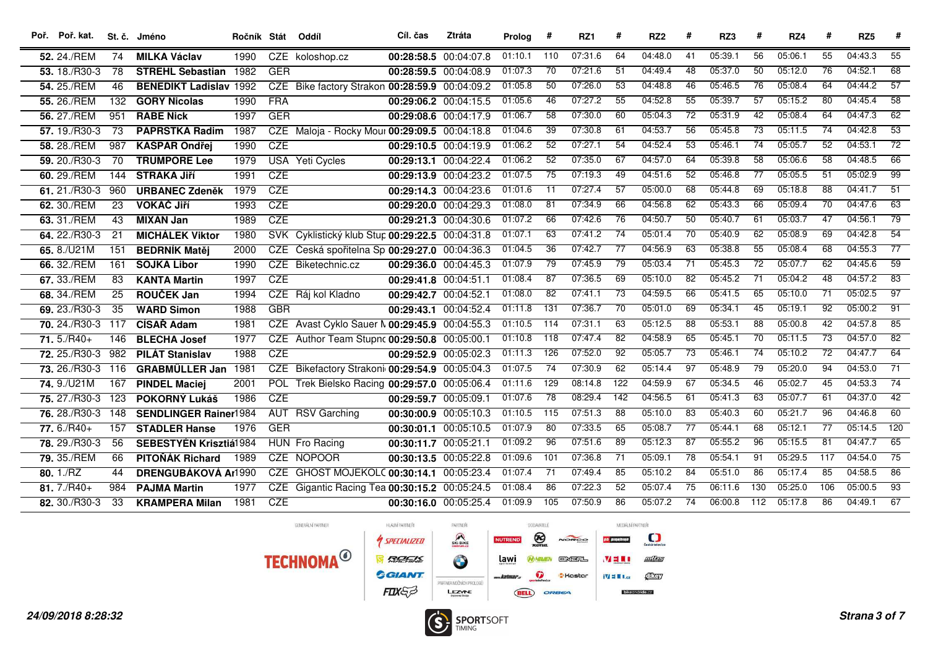| Poř. Poř. kat.       |                 | St. č. Jméno                  | Ročník Stát |            | Oddíl                                           | Cíl. čas              | Ztráta                | Prolog  | #                | RZ1     | #               | RZ <sub>2</sub> | #               | RZ3     | #               | RZ4     | #               | RZ <sub>5</sub> | #               |
|----------------------|-----------------|-------------------------------|-------------|------------|-------------------------------------------------|-----------------------|-----------------------|---------|------------------|---------|-----------------|-----------------|-----------------|---------|-----------------|---------|-----------------|-----------------|-----------------|
| 52. 24./REM          | 74              | <b>MILKA Václav</b>           | 1990        |            | CZE koloshop.cz                                 |                       | 00:28:58.5 00:04:07.8 | 01:10.1 | 110              | 07:31.6 | 64              | 04:48.0         | 41              | 05:39.1 | 56              | 05:06.1 | 55              | 04:43.3         | 55              |
| 53. 18./R30-3        | 78              | <b>STREHL Sebastian 1982</b>  |             | <b>GER</b> |                                                 | 00:28:59.5 00:04:08.9 |                       | 01:07.3 | $\overline{70}$  | 07:21.6 | $\overline{51}$ | 04:49.4         | 48              | 05:37.0 | 50              | 05:12.0 | 76              | 04:52.1         | 68              |
| 54. 25./REM          | 46              | <b>BENEDIKT Ladislav 1992</b> |             |            | CZE Bike factory Strakon 00:28:59.9 00:04:09.2  |                       |                       | 01:05.8 | $\overline{50}$  | 07:26.0 | $\overline{53}$ | 04:48.8         | 46              | 05:46.5 | $\overline{76}$ | 05:08.4 | 64              | 04:44.2         | $\overline{57}$ |
| 55. 26./REM          | 132             | <b>GORY Nicolas</b>           | 1990        | <b>FRA</b> |                                                 |                       | 00:29:06.2 00:04:15.5 | 01:05.6 | 46               | 07:27.2 | 55              | 04:52.8         | 55              | 05:39.7 | 57              | 05:15.2 | 80              | 04:45.4         | 58              |
| 56. 27./REM          | 951             | <b>RABE Nick</b>              | 1997        | <b>GER</b> |                                                 |                       | 00:29:08.6 00:04:17.9 | 01:06.7 | $\overline{58}$  | 07:30.0 | 60              | 05:04.3         | $\overline{72}$ | 05:31.9 | 42              | 05:08.4 | 64              | 04:47.3         | 62              |
| 57.19./R30-3         | $\overline{73}$ | <b>PAPRSTKA Radim</b>         | 1987        |            | CZE Maloja - Rocky Mour 00:29:09.5 00:04:18.8   |                       |                       | 01:04.6 | $\overline{39}$  | 07:30.8 | 61              | 04:53.7         | $\overline{56}$ | 05:45.8 | $\overline{73}$ | 05:11.5 | $\overline{74}$ | 04:42.8         | $\overline{53}$ |
| 58. 28./REM          | 987             | <b>KAŠPAR Ondřej</b>          | 1990        | <b>CZE</b> |                                                 | 00:29:10.5 00:04:19.9 |                       | 01:06.2 | 52               | 07:27.1 | 54              | 04:52.4         | 53              | 05:46.1 | $\overline{74}$ | 05:05.7 | 52              | 04:53.1         | $\overline{72}$ |
| 59. 20./R30-3        | 70              | <b>TRUMPORE Lee</b>           | 1979        |            | <b>USA</b> Yeti Cycles                          | 00:29:13.1 00:04:22.4 |                       | 01:06.2 | $\overline{52}$  | 07:35.0 | 67              | 04:57.0         | 64              | 05:39.8 | $\overline{58}$ | 05:06.6 | $\overline{58}$ | 04:48.5         | 66              |
| 60. 29./REM          | 144             | <b>STRAKA Jiří</b>            | 1991        | CZE        |                                                 | 00:29:13.9 00:04:23.2 |                       | 01:07.5 | 75               | 07:19.3 | 49              | 04:51.6         | 52              | 05:46.8 | $\overline{77}$ | 05:05.5 | $\overline{51}$ | 05:02.9         | $\overline{99}$ |
| 61.21./R30-3         | 960             | <b>URBANEC Zdeněk</b>         | 1979        | CZE        |                                                 |                       | 00:29:14.3 00:04:23.6 | 01:01.6 | $\overline{11}$  | 07:27.4 | 57              | 05:00.0         | 68              | 05:44.8 | 69              | 05:18.8 | $\overline{88}$ | 04:41.7         | $\overline{51}$ |
| 62. 30./REM          | 23              | <b>VOKÁČ JIří</b>             | 1993        | CZE        |                                                 |                       | 00:29:20.0 00:04:29.3 | 01:08.0 | 81               | 07:34.9 | 66              | 04:56.8         | 62              | 05:43.3 | 66              | 05:09.4 | 70              | 04:47.6         | $-63$           |
| 63. 31./REM          | 43              | <b>MIXÁN Jan</b>              | 1989        | CZE        |                                                 |                       | 00:29:21.3 00:04:30.6 | 01:07.2 | 66               | 07:42.6 | $\overline{76}$ | 04:50.7         | $\overline{50}$ | 05:40.7 | 61              | 05:03.7 | 47              | 04:56.1         | $\overline{79}$ |
| 64. 22./R30-3        | 21              | <b>MICHÁLEK Viktor</b>        | 1980        |            | SVK Cyklistický klub Stup 00:29:22.5 00:04:31.8 |                       |                       | 01:07.1 | $-63$            | 07:41.2 | 74              | 05:01.4         | $\overline{70}$ | 05:40.9 | 62              | 05:08.9 | 69              | 04:42.8         | $\overline{54}$ |
| 65.8./U21M           | 151             | <b>BEDRNÍK Matěj</b>          | 2000        |            | CZE Česká spořitelna Sp 00:29:27.0 00:04:36.3   |                       |                       | 01:04.5 | $\overline{36}$  | 07:42.7 | 77              | 04:56.9         | 63              | 05:38.8 | 55              | 05:08.4 | 68              | 04:55.3         | $\overline{77}$ |
| 66. 32./REM          | 161             | <b>SOJKA Libor</b>            | 1990        |            | CZE Biketechnic.cz                              |                       | 00:29:36.0 00:04:45.3 | 01:07.9 | $\overline{79}$  | 07:45.9 | $\overline{79}$ | 05:03.4         | $\overline{71}$ | 05:45.3 | 72              | 05:07.7 | 62              | 04:45.6         | $\overline{59}$ |
| 67. 33./REM          | 83              | <b>KANTA Martin</b>           | 1997        | <b>CZE</b> |                                                 | 00:29:41.8 00:04:51.1 |                       | 01:08.4 | $\overline{87}$  | 07:36.5 | 69              | 05:10.0         | $\overline{82}$ | 05:45.2 | $\overline{71}$ | 05:04.2 | 48              | 04:57.2         | $\overline{83}$ |
| 68. 34./REM          | 25              | <b>ROUČEK Jan</b>             | 1994        |            | CZE Ráj kol Kladno                              | 00:29:42.7 00:04:52.1 |                       | 01:08.0 | 82               | 07:41.1 | 73              | 04:59.5         | 66              | 05:41.5 | 65              | 05:10.0 | 71              | 05:02.5         | $\overline{97}$ |
| 69. 23./R30-3        | 35              | <b>WARD Simon</b>             | 1988        | <b>GBR</b> |                                                 | 00:29:43.1 00:04:52.4 |                       | 01:11.8 | $\overline{131}$ | 07:36.7 | $\overline{70}$ | 05:01.0         | 69              | 05:34.1 | 45              | 05:19.1 | 92              | 05:00.2         | 91              |
| 70. 24./R30-3 117    |                 | <b>CÍSAŘ Adam</b>             | 1981        |            | CZE Avast Cyklo Šauer N 00:29:45.9 00:04:55.3   |                       |                       | 01:10.5 | $\frac{114}{ }$  | 07:31.1 | 63              | 05:12.5         | 88              | 05:53.1 | 88              | 05:00.8 | 42              | 04:57.8         | 85              |
| $71.5/R40+$          | 146             | <b>BLECHA Josef</b>           | 1977        |            | CZE Author Team Stupnc 00:29:50.8 00:05:00.1    |                       |                       | 01:10.8 | 118              | 07:47.4 | 82              | 04:58.9         | 65              | 05:45.1 | $\overline{70}$ | 05:11.5 | $\overline{73}$ | 04:57.0         | $\overline{82}$ |
| <b>72.</b> 25./R30-3 | 982             | <b>PILAT Stanislav</b>        | 1988        | CZE        |                                                 | 00:29:52.9 00:05:02.3 |                       | 01:11.3 | 126              | 07:52.0 | 92              | 05:05.7         | $\overline{73}$ | 05:46.1 | 74              | 05:10.2 | $\overline{72}$ | 04:47.7         | 64              |
| 73. 26./R30-3 116    |                 | <b>GRABMÜLLER Jan</b>         | 1981        |            | CZE Bikefactory Strakoni 00:29:54.9 00:05:04.3  |                       |                       | 01:07.5 | 74               | 07:30.9 | 62              | 05:14.4         | 97              | 05:48.9 | 79              | 05:20.0 | 94              | 04:53.0         | $\overline{71}$ |
| 74.9./U21M           | 167             | <b>PINDEL Maciej</b>          | 2001        |            | POL Trek Bielsko Racing 00:29:57.0 00:05:06.4   |                       |                       | 01:11.6 | 129              | 08:14.8 | 122             | 04:59.9         | 67              | 05:34.5 | 46              | 05:02.7 | 45              | 04:53.3         | $\overline{74}$ |
| 75. 27./R30-3 123    |                 | POKORNÝ Lukáš                 | 1986        | CZE        |                                                 | 00:29:59.7 00:05:09.1 |                       | 01:07.6 | 78               | 08:29.4 | 142             | 04:56.5         | 61              | 05:41.3 | 63              | 05:07.7 | 61              | 04:37.0         | $\overline{42}$ |
| <b>76.</b> 28./R30-3 | 148             | <b>SENDLINGER Rainer1984</b>  |             |            | <b>AUT RSV Garching</b>                         | 00:30:00.9 00:05:10.3 |                       | 01:10.5 | 115              | 07:51.3 | 88              | 05:10.0         | 83              | 05:40.3 | 60              | 05:21.7 | 96              | 04:46.8         | 60              |
| $77.6/RA0+$          | 157             | <b>STADLER Hanse</b>          | 1976        | <b>GER</b> |                                                 | 00:30:01.1 00:05:10.5 |                       | 01:07.9 | 80               | 07:33.5 | 65              | 05:08.7         | $\overline{77}$ | 05:44.1 | 68              | 05:12.1 | $\overline{77}$ | 05:14.5         | 120             |
| 78. 29./R30-3        | 56              | <b>SEBESTYÉN Krisztiá1984</b> |             |            | HUN Fro Racing                                  | 00:30:11.7 00:05:21.1 |                       | 01:09.2 | 96               | 07:51.6 | 89              | 05:12.3         | 87              | 05:55.2 | 96              | 05:15.5 | $\overline{81}$ | 04:47.7         | 65              |
| 79. 35./REM          | 66              | PITOŇÁK Richard               | 1989        |            | CZE NOPOOR                                      | 00:30:13.5 00:05:22.8 |                       | 01:09.6 | 101              | 07:36.8 | 71              | 05:09.1         | $\overline{78}$ | 05:54.1 | 91              | 05:29.5 | 117             | 04:54.0         | 75              |
| 80.1/RZ              | 44              | <b>DRENGUBÁKOVÁ Ar1990</b>    |             |            | CZE GHOST MOJEKOLC 00:30:14.1 00:05:23.4        |                       |                       | 01:07.4 | $\overline{71}$  | 07:49.4 | 85              | 05:10.2         | $\overline{84}$ | 05:51.0 | 86              | 05:17.4 | $\overline{85}$ | 04:58.5         | 86              |
| $81.7/R40+$          | 984             | <b>PAJMA Martin</b>           | 1977        |            | CZE Gigantic Racing Tea 00:30:15.2 00:05:24.5   |                       |                       | 01:08.4 | 86               | 07:22.3 | 52              | 05:07.4         | 75              | 06:11.6 | 130             | 05:25.0 | 106             | 05:00.5         | $\overline{93}$ |
| 82. 30./R30-3        | 33              | <b>KRAMPERA Milan</b>         | 1981        | <b>CZE</b> |                                                 | 00:30:16.0 00:05:25.4 |                       | 01:09.9 | 105              | 07:50.9 | 86              | 05:07.2         | $\overline{74}$ | 06:00.8 | 112             | 05:17.8 | $\overline{86}$ | 04:49.1         | 67              |

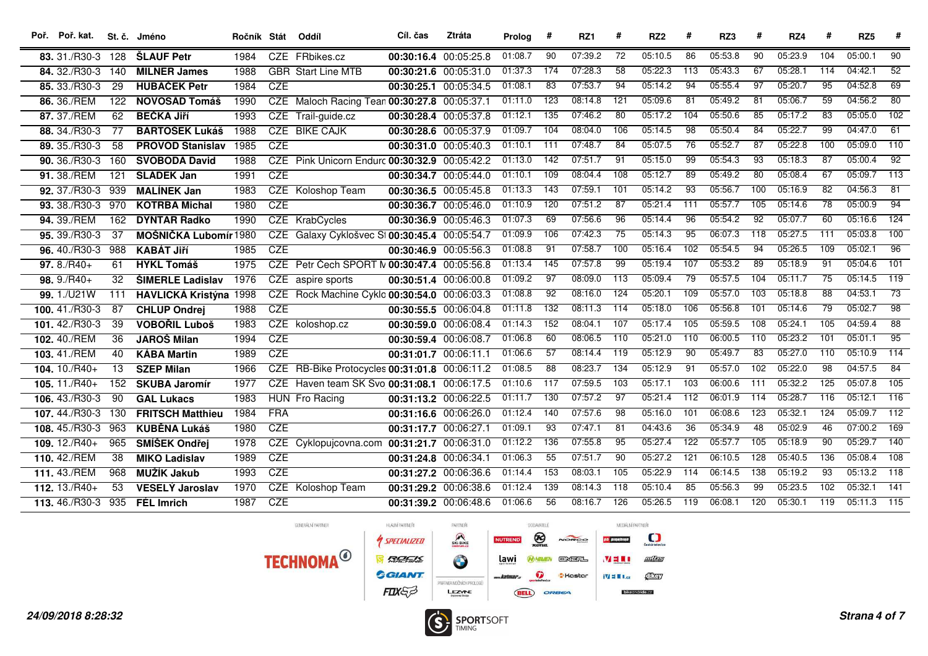| Poř. Poř. kat.                |                 | St. č. Jméno                  | Ročník Stát |            | Oddíl                                         | Cíl. čas              | <b>Ztráta</b>         | Prolog  | #                | RZ1     | #                | RZ <sub>2</sub> | #                | RZ3     | #               | RZ4     | #                | RZ <sub>5</sub> | #                |
|-------------------------------|-----------------|-------------------------------|-------------|------------|-----------------------------------------------|-----------------------|-----------------------|---------|------------------|---------|------------------|-----------------|------------------|---------|-----------------|---------|------------------|-----------------|------------------|
| 83. 31./R30-3 128             |                 | <b>ŠLAUF Petr</b>             | 1984        |            | CZE FRbikes.cz                                |                       | 00:30:16.4 00:05:25.8 | 01:08.7 | 90               | 07:39.2 | 72               | 05:10.5         | 86               | 05:53.8 | 90              | 05:23.9 | 104              | 05:00.1         | 90               |
| 84. 32./R30-3 140             |                 | <b>MILNER James</b>           | 1988        |            | <b>GBR</b> Start Line MTB                     |                       | 00:30:21.6 00:05:31.0 | 01:37.3 | 174              | 07:28.3 | 58               | 05:22.3         | 113              | 05:43.3 | 67              | 05:28.1 | 114              | 04:42.1         | $\overline{52}$  |
| 85. 33./R30-3                 | $\overline{29}$ | <b>HUBÁČEK Petr</b>           | 1984        | <b>CZE</b> |                                               |                       | 00:30:25.1 00:05:34.5 | 01:08.1 | 83               | 07:53.7 | 94               | 05:14.2         | 94               | 05:55.4 | $\overline{97}$ | 05:20.7 | $\overline{95}$  | 04:52.8         | 69               |
| 86. 36./REM                   | 122             | <b>NOVOSÁD Tomáš</b>          | 1990        |            | CZE Maloch Racing Tean 00:30:27.8 00:05:37.1  |                       |                       | 01:11.0 | $\overline{123}$ | 08:14.8 | 121              | 05:09.6         | $\overline{81}$  | 05:49.2 | 81              | 05:06.7 | 59               | 04:56.2         | 80               |
| 87. 37./REM                   | 62              | <b>BEČKA JIří</b>             | 1993        |            | CZE Trail-guide.cz                            |                       | 00:30:28.4 00:05:37.8 | 01:12.1 | 135              | 07:46.2 | 80               | 05:17.2         | 104              | 05:50.6 | 85              | 05:17.2 | 83               | 05:05.0         | 102              |
| 88, 34./R30-3                 | 77              | <b>BARTOŠEK Lukáš</b>         | 1988        |            | <b>CZE BIKE CAJK</b>                          |                       | 00:30:28.6 00:05:37.9 | 01:09.7 | 104              | 08:04.0 | 106              | 05:14.5         | $\overline{98}$  | 05:50.4 | $\overline{84}$ | 05:22.7 | $\overline{99}$  | 04:47.0         | $\overline{61}$  |
| 89. 35./R30-3                 | 58              | <b>PROVOD Stanislav</b>       | 1985        | <b>CZE</b> |                                               |                       | 00:30:31.0 00:05:40.3 | 01:10.1 | 111              | 07:48.7 | 84               | 05:07.5         | 76               | 05:52.7 | 87              | 05:22.8 | 100              | 05:09.0         | 110              |
| 90. 36./R30-3                 | 160             | <b>SVOBODA David</b>          | 1988        |            | CZE Pink Unicorn Endurc 00:30:32.9 00:05:42.2 |                       |                       | 01:13.0 | $\overline{142}$ | 07:51.7 | 91               | 05:15.0         | $-99$            | 05:54.3 | $\overline{93}$ | 05:18.3 | $\overline{87}$  | 05:00.4         | $\overline{92}$  |
| 91, 38./REM                   | 121             | <b>SLÁDEK Jan</b>             | 1991        | CZE        |                                               |                       | 00:30:34.7 00:05:44.0 | 01:10.1 | 109              | 08:04.4 | $\overline{108}$ | 05:12.7         | $\overline{89}$  | 05:49.2 | $\overline{80}$ | 05:08.4 | 67               | 05:09.7         | $\overline{113}$ |
| 92. 37./R30-3 939             |                 | <b>MALÍNEK Jan</b>            | 1983        |            | <b>CZE</b> Koloshop Team                      |                       | 00:30:36.5 00:05:45.8 | 01:13.3 | 143              | 07:59.1 | 101              | 05:14.2         | 93               | 05:56.7 | 100             | 05:16.9 | 82               | 04:56.3         | 81               |
| 93. 38./R30-3 970             |                 | <b>KOTRBA Michal</b>          | 1980        | <b>CZE</b> |                                               |                       | 00:30:36.7 00:05:46.0 | 01:10.9 | $\overline{120}$ | 07:51.2 | 87               | 05:21.4         | 111              | 05:57.7 | 105             | 05:14.6 | $\overline{78}$  | 05:00.9         | $\overline{94}$  |
| 94. 39./REM                   | 162             | <b>DYNTAR Radko</b>           | 1990        |            | CZE KrabCycles                                |                       | 00:30:36.9 00:05:46.3 | 01:07.3 | 69               | 07:56.6 | 96               | 05:14.4         | 96               | 05:54.2 | $\overline{92}$ | 05:07.7 | 60               | 05:16.6         | 124              |
| 95, 39./R30-3                 | 37              | MOŠNIČKA Lubomír 1980         |             |            | CZE Galaxy Cyklošvec St 00:30:45.4 00:05:54.7 |                       |                       | 01:09.9 | 106              | 07:42.3 | $\overline{75}$  | 05:14.3         | $\overline{95}$  | 06:07.3 | 118             | 05:27.5 | 111              | 05:03.8         | 100              |
| 96.40./R30-3                  | 988             | <b>KABÁT JIří</b>             | 1985        | CZE        |                                               |                       | 00:30:46.9 00:05:56.3 | 01:08.8 | 91               | 07:58.7 | 100              | 05:16.4         | 102              | 05:54.5 | $\overline{94}$ | 05:26.5 | $\overline{109}$ | 05:02.1         | $\overline{96}$  |
| $97.8/R40+$                   | 61              | <b>HYKL Tomáš</b>             | 1975        |            | CZE Petr Čech SPORT N 00:30:47.4 00:05:56.8   |                       |                       | 01:13.4 | $\overline{145}$ | 07:57.8 | 99               | 05:19.4         | 107              | 05:53.2 | 89              | 05:18.9 | $\overline{91}$  | 05:04.6         | 101              |
| $98.9/RA0+$                   | 32              | ŠIMERLE Ladislav              | 1976        |            | CZE aspire sports                             |                       | 00:30:51.4 00:06:00.8 | 01:09.2 | $\overline{97}$  | 08:09.0 | $\overline{113}$ | 05:09.4         | $\overline{79}$  | 05:57.5 | 104             | 05:11.7 | $\overline{75}$  | 05:14.5         | $\overline{119}$ |
| 99.1./U21W                    | 111             | <b>HAVLICKÁ Kristýna 1998</b> |             |            | CZE Rock Machine Cyklo 00:30:54.0 00:06:03.3  |                       |                       | 01:08.8 | $\overline{92}$  | 08:16.0 | 124              | 05:20.1         | 109              | 05:57.0 | 103             | 05:18.8 | $\overline{88}$  | 04:53.1         | $\overline{73}$  |
| 100.41./R30-3                 | 87              | <b>CHLUP Ondrej</b>           | 1988        | CZE        |                                               |                       | 00:30:55.5 00:06:04.8 | 01:11.8 | $\overline{132}$ | 08:11.3 | 114              | 05:18.0         | 106              | 05:56.8 | 101             | 05:14.6 | 79               | 05:02.7         | $\overline{98}$  |
| 101.42./R30-3                 | 39              | <b>VOBOŘIL Luboš</b>          | 1983        |            | CZE koloshop.cz                               |                       | 00:30:59.0 00:06:08.4 | 01:14.3 | $\overline{152}$ | 08:04.1 | 107              | 05:17.4         | 105              | 05:59.5 | 108             | 05:24.1 | 105              | 04:59.4         | $\overline{88}$  |
| 102.40./REM                   | 36              | <b>JAROŠ Milan</b>            | 1994        | CZE        |                                               |                       | 00:30:59.4 00:06:08.7 | 01:06.8 | 60               | 08:06.5 | 110              | 05:21.0         | 110              | 06:00.5 | 110             | 05:23.2 | 101              | 05:01.1         | 95               |
| 103.41./REM                   | 40              | <b>KÁBA Martin</b>            | 1989        | CZE        |                                               | 00:31:01.7 00:06:11.1 |                       | 01:06.6 | 57               | 08:14.4 | 119              | 05:12.9         | 90               | 05:49.7 | 83              | 05:27.0 | $\overline{110}$ | 05:10.9         | 114              |
| 104. 10./R40+                 | 13              | <b>SZEP Milan</b>             | 1966        |            | CZE RB-Bike Protocycles 00:31:01.8 00:06:11.2 |                       |                       | 01:08.5 | 88               | 08:23.7 | $\overline{134}$ | 05:12.9         | 91               | 05:57.0 | 102             | 05:22.0 | $\overline{98}$  | 04:57.5         | 84               |
| 105. $11./R40+$               | 152             | <b>SKUBA Jaromír</b>          | 1977        |            | CZE Haven team SK Svo 00:31:08.1 00:06:17.5   |                       |                       | 01:10.6 | 117              | 07:59.5 | 103              | 05:17.1         | 103              | 06:00.6 | 111             | 05:32.2 | 125              | 05:07.8         | 105              |
| 106.43./R30-3                 | 90              | <b>GAL Lukacs</b>             | 1983        |            | HUN Fro Racing                                |                       | 00:31:13.2 00:06:22.5 | 01:11.7 | 130              | 07:57.2 | 97               | 05:21.4         | 112              | 06:01.9 | 114             | 05:28.7 | 116              | 05:12.1         | 116              |
| 107.44./R30-3                 | 130             | <b>FRITSCH Matthieu</b>       | 1984        | <b>FRA</b> |                                               |                       | 00:31:16.6 00:06:26.0 | 01:12.4 | 140              | 07:57.6 | 98               | 05:16.0         | 101              | 06:08.6 | 123             | 05:32.1 | 124              | 05:09.7         | $\overline{112}$ |
| 108.45./R30-3                 | 963             | <b>KUBĚNA Lukáš</b>           | 1980        | CZE        |                                               | 00:31:17.7 00:06:27.1 |                       | 01:09.1 | 93               | 07:47.1 | 81               | 04:43.6         | $\overline{36}$  | 05:34.9 | 48              | 05:02.9 | 46               | 07:00.2         | $\overline{169}$ |
| $109.12/R40+$                 | 965             | SMÍŠEK Ondřej                 | 1978        | <b>CZE</b> | Cyklopujcovna.com 00:31:21.7 00:06:31.0       |                       |                       | 01:12.2 | 136              | 07:55.8 | 95               | 05:27.4         | 122              | 05:57.7 | 105             | 05:18.9 | $\overline{90}$  | 05:29.7         | 140              |
| 110.42./REM                   | 38              | <b>MIKO Ladislav</b>          | 1989        | CZE        |                                               | 00:31:24.8 00:06:34.1 |                       | 01:06.3 | $\overline{55}$  | 07:51.7 | 90               | 05:27.2         | $\overline{121}$ | 06:10.5 | 128             | 05:40.5 | 136              | 05:08.4         | 108              |
| 111.43./REM                   | 968             | <b>MUŽÍK Jakub</b>            | 1993        | <b>CZE</b> |                                               |                       | 00:31:27.2 00:06:36.6 | 01:14.4 | 153              | 08:03.1 | 105              | 05:22.9         | 114              | 06:14.5 | 138             | 05:19.2 | 93               | 05:13.2         | 118              |
| $112. 13. / R40+$             | 53              | <b>VESELÝ Jaroslav</b>        | 1970        |            | <b>CZE</b> Koloshop Team                      |                       | 00:31:29.2 00:06:38.6 | 01:12.4 | $\overline{139}$ | 08:14.3 | 118              | 05:10.4         | 85               | 05:56.3 | $\overline{99}$ | 05:23.5 | 102              | 05:32.1         | $\overline{141}$ |
| 113. 46./R30-3 935 FÉL Imrich |                 |                               | 1987        | CZE        |                                               |                       | 00:31:39.2 00:06:48.6 | 01:06.6 | $\overline{56}$  | 08:16.7 | 126              | 05:26.5         | 119              | 06:08.1 | 120             | 05:30.1 | 119              | 05:11.3         | $\overline{115}$ |

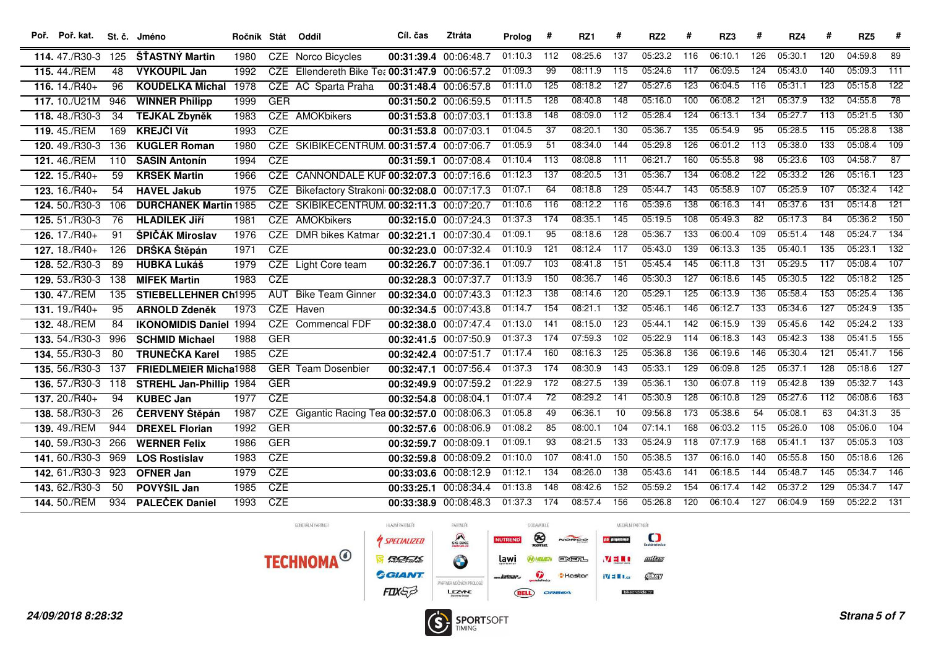| Poř. Poř. kat.         |                  | St. č. Jméno                   | Ročník Stát Oddíl |            |                                                | Cíl. čas              | <b>Ztráta</b>         | Prolog  | #                | RZ1     | #                | RZ <sub>2</sub> | #                | RZ3     | #                | RZ4     | #                | RZ <sub>5</sub> | #                |
|------------------------|------------------|--------------------------------|-------------------|------------|------------------------------------------------|-----------------------|-----------------------|---------|------------------|---------|------------------|-----------------|------------------|---------|------------------|---------|------------------|-----------------|------------------|
| 114, 47./R30-3         | 125              | ŠŤASTNÝ Martin                 | 1980              |            | CZE Norco Bicycles                             | 00:31:39.4 00:06:48.7 |                       | 01:10.3 | 112              | 08:25.6 | 137              | 05:23.2         | 116              | 06:10.1 | 126              | 05:30.1 | 120              | 04:59.8         | 89               |
| 115, 44./REM           | 48               | <b>VYKOUPIL Jan</b>            | 1992              | <b>CZE</b> | Ellendereth Bike Tea 00:31:47.9 00:06:57.2     |                       |                       | 01:09.3 | $\overline{99}$  | 08:11.9 | 115              | 05:24.6         | 117              | 06:09.5 | $\overline{124}$ | 05:43.0 | 140              | 05:09.3         | 111              |
| 116. $\sqrt{14.7R40+}$ | 96               | <b>KOUDELKA Michal</b>         | 1978              |            | CZE AC Sparta Praha                            | 00:31:48.4 00:06:57.8 |                       | 01:11.0 | 125              | 08:18.2 | $\overline{127}$ | 05:27.6         | 123              | 06:04.5 | 116              | 05:31.1 | 123              | 05:15.8         | 122              |
| 117. 10./U21M          | 946              | <b>WINNER Philipp</b>          | 1999              | <b>GER</b> |                                                | 00:31:50.2 00:06:59.5 |                       | 01:11.5 | 128              | 08:40.8 | 148              | 05:16.0         | 100              | 06:08.2 | 121              | 05:37.9 | 132              | 04:55.8         | $\overline{78}$  |
| 118.48./R30-3          | 34               | <b>TEJKAL Zbyněk</b>           | 1983              |            | <b>CZE AMOKbikers</b>                          | 00:31:53.8 00:07:03.1 |                       | 01:13.8 | $\overline{148}$ | 08:09.0 | 112              | 05:28.4         | 124              | 06:13.1 | $\frac{134}{ }$  | 05:27.7 | 113              | 05:21.5         | 130              |
| 119.45./REM            | 169              | <b>KREJČÍ Vít</b>              | 1993              | <b>CZE</b> |                                                | 00:31:53.8 00:07:03.1 |                       | 01:04.5 | $\overline{37}$  | 08:20.1 | 130              | 05:36.7         | $\overline{135}$ | 05:54.9 | $\overline{95}$  | 05:28.5 | $\overline{115}$ | 05:28.8         | 138              |
| 120.49./R30-3          | 136              | <b>KUGLER Roman</b>            | 1980              |            | CZE SKIBIKECENTRUM. 00:31:57.4 00:07:06.7      |                       |                       | 01:05.9 | 51               | 08:34.0 | 144              | 05:29.8         | 126              | 06:01.2 | 113              | 05:38.0 | 133              | 05:08.4         | 109              |
| 121.46./REM            | 110              | <b>SASÍN Antonín</b>           | 1994              | <b>CZE</b> |                                                | 00:31:59.1 00:07:08.4 |                       | 01:10.4 | 113              | 08:08.8 | $\overline{111}$ | 06:21.7         | 160              | 05:55.8 | $\overline{98}$  | 05:23.6 | 103              | 04:58.7         | $\overline{87}$  |
| $122.15/R40+$          | 59               | <b>KRSEK Martin</b>            | 1966              |            | CZE CANNONDALE KUF 00:32:07.3 00:07:16.6       |                       |                       | 01:12.3 | 137              | 08:20.5 | $\overline{131}$ | 05:36.7         | 134              | 06:08.2 | 122              | 05:33.2 | 126              | 05:16.1         | $\overline{123}$ |
| 123. 16./R40+          | 54               | <b>HAVEL Jakub</b>             | 1975              |            | CZE Bikefactory Strakoni 00:32:08.0 00:07:17.3 |                       |                       | 01:07.1 | 64               | 08:18.8 | 129              | 05:44.7         | 143              | 05:58.9 | 107              | 05:25.9 | 107              | 05:32.4         | $\overline{142}$ |
| 124.50./R30-3          | 106              | <b>DURCHÁNEK Martin 1985</b>   |                   |            | CZE SKIBIKECENTRUM. 00:32:11.3 00:07:20.7      |                       |                       | 01:10.6 | $\overline{116}$ | 08:12.2 | $\overline{116}$ | 05:39.6         | 138              | 06:16.3 | $\overline{141}$ | 05:37.6 | 131              | 05:14.8         | $\overline{121}$ |
| 125. 51./R30-3         | $\overline{76}$  | <b>HLADÍLEK JIří</b>           | 1981              |            | CZE AMOKbikers                                 |                       | 00:32:15.0 00:07:24.3 | 01:37.3 | 174              | 08:35.1 | 145              | 05:19.5         | 108              | 05:49.3 | $\overline{82}$  | 05:17.3 | 84               | 05:36.2         | $\overline{150}$ |
| 126. 17./R40+          | 91               | ŠPIČÁK Miroslav                | 1976              |            | <b>CZE</b> DMR bikes Katmar                    | 00:32:21.1 00:07:30.4 |                       | 01:09.1 | $\overline{95}$  | 08:18.6 | 128              | 05:36.7         | 133              | 06:00.4 | 109              | 05:51.4 | 148              | 05:24.7         | 134              |
| $127.18/R40+$          | 126              | DRŠKA Štěpán                   | 1971              | CZE        |                                                | 00:32:23.0 00:07:32.4 |                       | 01:10.9 | $\overline{121}$ | 08:12.4 | $\overline{117}$ | 05:43.0         | $\overline{139}$ | 06:13.3 | $\overline{135}$ | 05:40.1 | $\overline{135}$ | 05:23.1         | $\overline{132}$ |
| 128. 52./R30-3         | 89               | <b>HUBKA Lukáš</b>             | 1979              |            | CZE Light Core team                            | 00:32:26.7 00:07:36.1 |                       | 01:09.7 | $\overline{103}$ | 08:41.8 | $\overline{151}$ | 05:45.4         | $\frac{145}{ }$  | 06:11.8 | $\overline{131}$ | 05:29.5 | $\overline{117}$ | 05:08.4         | 107              |
| 129. 53./R30-3         | 138              | <b>MÍFEK Martin</b>            | 1983              | CZE        |                                                | 00:32:28.3 00:07:37.7 |                       | 01:13.9 | 150              | 08:36.7 | $\overline{146}$ | 05:30.3         | $\overline{127}$ | 06:18.6 | $\overline{145}$ | 05:30.5 | $\overline{122}$ | 05:18.2         | $\frac{125}{ }$  |
| 130.47./REM            | 135              | <b>STIEBELLEHNER Ch1995</b>    |                   |            | <b>AUT</b> Bike Team Ginner                    | 00:32:34.0 00:07:43.3 |                       | 01:12.3 | $\overline{138}$ | 08:14.6 | 120              | 05:29.1         | 125              | 06:13.9 | 136              | 05:58.4 | 153              | 05:25.4         | $\overline{136}$ |
| 131. 19./R40+          | 95               | <b>ARNOLD Zdeněk</b>           | 1973              |            | CZE Haven                                      | 00:32:34.5 00:07:43.8 |                       | 01:14.7 | 154              | 08:21.1 | 132              | 05:46.1         | 146              | 06:12.7 | 133              | 05:34.6 | 127              | 05:24.9         | $\overline{135}$ |
| 132.48./REM            | 84               | <b>IKONOMIDIS Daniel 1994</b>  |                   |            | <b>CZE</b> Commencal FDF                       | 00:32:38.0 00:07:47.4 |                       | 01:13.0 | 141              | 08:15.0 | $\overline{123}$ | 05:44.1         | 142              | 06:15.9 | 139              | 05:45.6 | $\overline{142}$ | 05:24.2         | $\overline{133}$ |
| 133.54./R30-3          | 996              | <b>SCHMID Michael</b>          | 1988              | <b>GER</b> |                                                | 00:32:41.5 00:07:50.9 |                       | 01:37.3 | 174              | 07:59.3 | 102              | 05:22.9         | $\overline{114}$ | 06:18.3 | $\overline{143}$ | 05:42.3 | 138              | 05:41.5         | $\overline{155}$ |
| 134. 55./R30-3         | 80               | <b>TRUNEČKA Karel</b>          | 1985              | CZE        |                                                | 00:32:42.4 00:07:51.7 |                       | 01:17.4 | 160              | 08:16.3 | 125              | 05:36.8         | 136              | 06:19.6 | 146              | 05:30.4 | 121              | 05:41.7         | 156              |
| 135. 56./R30-3         | 137              | <b>FRIEDLMEIER Micha1988</b>   |                   |            | <b>GER</b> Team Dosenbier                      | 00:32:47.1 00:07:56.4 |                       | 01:37.3 | 174              | 08:30.9 | 143              | 05:33.1         | 129              | 06:09.8 | 125              | 05:37.1 | 128              | 05:18.6         | 127              |
| 136. 57./R30-3 118     |                  | <b>STREHL Jan-Phillip 1984</b> |                   | <b>GER</b> |                                                | 00:32:49.9 00:07:59.2 |                       | 01:22.9 | 172              | 08:27.5 | 139              | 05:36.1         | 130              | 06:07.8 | 119              | 05:42.8 | 139              | 05:32.7         | $\overline{143}$ |
| 137. 20./R40+          | 94               | <b>KUBEC Jan</b>               | 1977              | CZE        |                                                | 00:32:54.8 00:08:04.1 |                       | 01:07.4 | 72               | 08:29.2 | 141              | 05:30.9         | 128              | 06:10.8 | 129              | 05:27.6 | 112              | 06:08.6         | 163              |
| 138. 58./R30-3         | 26               | ČERVENÝ Štěpán                 | 1987              |            | CZE Gigantic Racing Tea 00:32:57.0 00:08:06.3  |                       |                       | 01:05.8 | 49               | 06:36.1 | 10               | 09:56.8         | $\overline{173}$ | 05:38.6 | 54               | 05:08.1 | 63               | 04:31.3         | $\overline{35}$  |
| 139.49./REM            | 944              | <b>DREXEL Florian</b>          | 1992              | <b>GER</b> |                                                | 00:32:57.6 00:08:06.9 |                       | 01:08.2 | $\overline{85}$  | 08:00.1 | 104              | 07:14.1         | 168              | 06:03.2 | $\overline{115}$ | 05:26.0 | 108              | 05:06.0         | 104              |
| 140. 59./R30-3         | 266              | <b>WERNER Felix</b>            | 1986              | <b>GER</b> |                                                | 00:32:59.7 00:08:09.1 |                       | 01:09.1 | $\overline{93}$  | 08:21.5 | 133              | 05:24.9         | 118              | 07:17.9 | 168              | 05:41.1 | 137              | 05:05.3         | 103              |
| 141.60./R30-3          | 969              | <b>LOS Rostislav</b>           | 1983              | CZE        |                                                | 00:32:59.8 00:08:09.2 |                       | 01:10.0 | 107              | 08:41.0 | 150              | 05:38.5         | 137              | 06:16.0 | 140              | 05:55.8 | 150              | 05:18.6         | 126              |
| 142. 61./R30-3         | $\overline{923}$ | <b>OFNER Jan</b>               | 1979              | <b>CZE</b> |                                                | 00:33:03.6 00:08:12.9 |                       | 01:12.1 | 134              | 08:26.0 | 138              | 05:43.6         | 141              | 06:18.5 | $\overline{144}$ | 05:48.7 | $\overline{145}$ | 05:34.7         | 146              |
| 143, 62./R30-3         | 50               | POVÝŠIL Jan                    | 1985              | CZE        |                                                | 00:33:25.1 00:08:34.4 |                       | 01:13.8 | 148              | 08:42.6 | 152              | 05:59.2         | $\overline{154}$ | 06:17.4 | 142              | 05:37.2 | 129              | 05:34.7         | $\overline{147}$ |
| 144.50./REM            | 934              | <b>PALEČEK Daniel</b>          | 1993              | CZE        |                                                | 00:33:38.9 00:08:48.3 |                       | 01:37.3 | 174              | 08:57.4 | 156              | 05:26.8         | 120              | 06:10.4 | 127              | 06:04.9 | 159              | 05:22.2         | 131              |



MEDIÁLNÍ PARTNEŘI

 $\frac{1}{2}$   $\frac{1}{2}$   $\frac{1}{2}$   $\frac{1}{2}$   $\frac{1}{2}$   $\frac{1}{2}$   $\frac{1}{2}$   $\frac{1}{2}$   $\frac{1}{2}$   $\frac{1}{2}$   $\frac{1}{2}$   $\frac{1}{2}$   $\frac{1}{2}$   $\frac{1}{2}$   $\frac{1}{2}$   $\frac{1}{2}$   $\frac{1}{2}$   $\frac{1}{2}$   $\frac{1}{2}$   $\frac{1}{2}$   $\frac{1}{2}$   $\frac{1}{2}$ 

bikeandride.cz

**по р**ідноїне

 $M \equiv 1$ 

 $\Box$ 

血压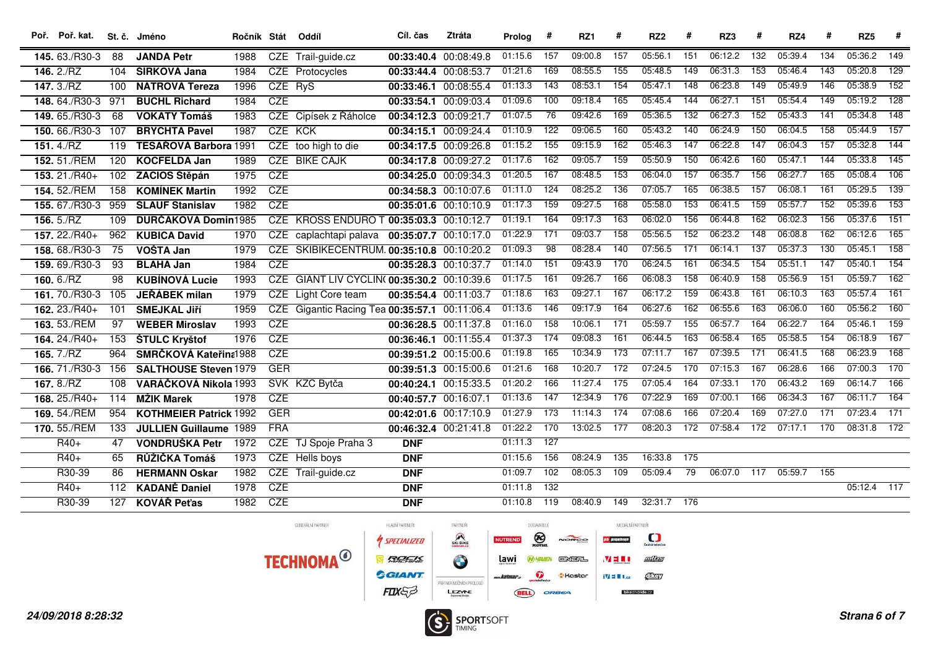| Poř. Poř. kat. |     | St. č. Jméno                  | Ročník Stát |            | Oddíl                                         | Cíl. čas              | Ztráta     | Prolog  | #                | RZ <sub>1</sub> | #                | RZ <sub>2</sub> | #                | RZ3     | #                | RZ4     |                  | RZ <sub>5</sub> | #                |
|----------------|-----|-------------------------------|-------------|------------|-----------------------------------------------|-----------------------|------------|---------|------------------|-----------------|------------------|-----------------|------------------|---------|------------------|---------|------------------|-----------------|------------------|
| 145.63./R30-3  | 88  | <b>JANDA Petr</b>             | 1988        |            | CZE Trail-guide.cz                            | 00:33:40.4 00:08:49.8 |            | 01:15.6 | 157              | 09:00.8         | 157              | 05:56.1         | 151              | 06:12.2 | 132              | 05:39.4 | 134              | 05:36.2         | 149              |
| 146. $2./RZ$   | 104 | ŠÍRKOVÁ Jana                  | 1984        |            | CZE Protocycles                               | 00:33:44.4            | 00:08:53.7 | 01:21.6 | 169              | 08:55.5         | $\overline{155}$ | 05:48.5         | 149              | 06:31.3 | 153              | 05:46.4 | $\overline{143}$ | 05:20.8         | 129              |
| 147.3/RZ       | 100 | NÁTROVÁ Tereza                | 1996        | CZE RyS    |                                               | 00:33:46.1 00:08:55.4 |            | 01:13.3 | 143              | 08:53.1         | 154              | 05:47.1         | 148              | 06:23.8 | 149              | 05:49.9 | 146              | 05:38.9         | 152              |
| 148, 64./R30-3 | 971 | <b>BUCHL Richard</b>          | 1984        | CZE        |                                               | 00:33:54.1 00:09:03.4 |            | 01:09.6 | 100              | 09:18.4         | 165              | 05:45.4         | 144              | 06:27.1 | 151              | 05:54.4 | 149              | 05:19.2         | $\overline{128}$ |
| 149.65./R30-3  | 68  | <b>VOKATÝ Tomáš</b>           | 1983        |            | CZE Cipísek z Řáholce                         | 00:34:12.3 00:09:21.7 |            | 01:07.5 | 76               | 09:42.6         | 169              | 05:36.5         | $\overline{132}$ | 06:27.3 | 152              | 05:43.3 | 141              | 05:34.8         | 148              |
| 150.66./R30-3  | 107 | <b>BRYCHTA Pavel</b>          | 1987        | <b>CZE</b> | KCK                                           | 00:34:15.1 00:09:24.4 |            | 01:10.9 | 122              | 09:06.5         | 160              | 05:43.2         | $\overline{140}$ | 06:24.9 | 150              | 06:04.5 | 158              | 05:44.9         | $\overline{157}$ |
| 151.4/ RZ      | 119 | TESAŘOVÁ Barbora 1991         |             |            | CZE too high to die                           | 00:34:17.5 00:09:26.8 |            | 01:15.2 | 155              | 09:15.9         | 162              | 05:46.3         | 147              | 06:22.8 | $\overline{147}$ | 06:04.3 | 157              | 05:32.8         | 144              |
| 152.51./REM    | 120 | <b>KOCFELDA Jan</b>           | 1989        |            | <b>CZE BIKE CAJK</b>                          | 00:34:17.8 00:09:27.2 |            | 01:17.6 | 162              | 09:05.7         | 159              | 05:50.9         | 150              | 06:42.6 | 160              | 05:47.1 | 144              | 05:33.8         | $\overline{145}$ |
| 153. 21./R40+  | 102 | ZACIOS Štěpán                 | 1975        | CZE        |                                               | 00:34:25.0 00:09:34.3 |            | 01:20.5 | 167              | 08:48.5         | $\overline{153}$ | 06:04.0         | 157              | 06:35.7 | 156              | 06:27.7 | 165              | 05:08.4         | 106              |
| 154. 52./REM   | 158 | <b>KOMÍNEK Martin</b>         | 1992        | <b>CZE</b> |                                               | 00:34:58.3 00:10:07.6 |            | 01:11.0 | 124              | 08:25.2         | 136              | 07:05.7         | 165              | 06:38.5 | 157              | 06:08.1 | 161              | 05:29.5         | 139              |
| 155.67./R30-3  | 959 | <b>ŠLAUF Stanislav</b>        | 1982        | CZE        |                                               | 00:35:01.6 00:10:10.9 |            | 01:17.3 | $\overline{159}$ | 09:27.5         | $\overline{168}$ | 05:58.0         | 153              | 06:41.5 | 159              | 05:57.7 | 152              | 05:39.6         | $\overline{153}$ |
| 156.5/RZ       | 109 | <b>DURČÁKOVÁ Domin1985</b>    |             |            | CZE KROSS ENDURO T 00:35:03.3 00:10:12.7      |                       |            | 01:19.1 | 164              | 09:17.3         | 163              | 06:02.0         | 156              | 06:44.8 | 162              | 06:02.3 | 156              | 05:37.6         | $\overline{151}$ |
| 157. 22./R40+  | 962 | <b>KUBICA David</b>           | 1970        | <b>CZE</b> | caplachtapi palava                            | 00:35:07.7 00:10:17.0 |            | 01:22.9 | 171              | 09:03.7         | 158              | 05:56.5         | 152              | 06:23.2 | 148              | 06:08.8 | 162              | 06:12.6         | $\overline{165}$ |
| 158.68./R30-3  | 75  | VOŠTA Jan                     | 1979        |            | CZE SKIBIKECENTRUM. 00:35:10.8 00:10:20.2     |                       |            | 01:09.3 | 98               | 08:28.4         | 140              | 07:56.5         | 171              | 06:14.1 | $\overline{137}$ | 05:37.3 | 130              | 05:45.1         | 158              |
| 159.69./R30-3  | 93  | <b>BLAHA Jan</b>              | 1984        | CZE        |                                               | 00:35:28.3 00:10:37.7 |            | 01:14.0 | $\overline{151}$ | 09:43.9         | 170              | 06:24.5         | 161              | 06:34.5 | 154              | 05:51.1 | 147              | 05:40.1         | 154              |
| 160.6/RZ       | 98  | <b>KUBÍNOVÁ Lucie</b>         | 1993        | <b>CZE</b> | GIANT LIV CYCLIN( 00:35:30.2 00:10:39.6       |                       |            | 01:17.5 | $\overline{161}$ | 09:26.7         | 166              | 06:08.3         | 158              | 06:40.9 | 158              | 05:56.9 | 151              | 05:59.7         | 162              |
| 161.70./R30-3  | 105 | <b>JEŘÁBEK milan</b>          | 1979        |            | CZE Light Core team                           | 00:35:54.4 00:11:03.7 |            | 01:18.6 | $\overline{163}$ | 09:27.1         | $\overline{167}$ | 06:17.2         | 159              | 06:43.8 | 161              | 06:10.3 | 163              | 05:57.4         | 161              |
| 162. 23./R40+  | 101 | <b>SMEJKAL Jiří</b>           | 1959        |            | CZE Gigantic Racing Tea 00:35:57.1 00:11:06.4 |                       |            | 01:13.6 | 146              | 09:17.9         | 164              | 06:27.6         | 162              | 06:55.6 | 163              | 06:06.0 | 160              | 05:56.2         | 160              |
| 163. 53./REM   | 97  | <b>WEBER Miroslav</b>         | 1993        | CZE        |                                               | 00:36:28.5 00:11:37.8 |            | 01:16.0 | 158              | 10:06.1         | $\overline{171}$ | 05:59.7         | 155              | 06:57.7 | 164              | 06:22.7 | 164              | 05:46.1         | 159              |
| 164. 24./R40+  | 153 | ŠTULC Kryštof                 | 1976        | CZE        |                                               | 00:36:46.1 00:11:55.4 |            | 01:37.3 | 174              | 09:08.3         | 161              | 06:44.5         | 163              | 06:58.4 | 165              | 05:58.5 | 154              | 06:18.9         | 167              |
| 165. 7./RZ     | 964 | SMRČKOVÁ Kateřina1988         |             | CZE        |                                               | 00:39:51.2 00:15:00.6 |            | 01:19.8 | 165              | 10:34.9         | 173              | 07:11.7         | 167              | 07:39.5 | 171              | 06:41.5 | 168              | 06:23.9         | 168              |
| 166.71./R30-3  | 156 | <b>SALTHOUSE Steven 1979</b>  |             | <b>GER</b> |                                               | 00:39:51.3 00:15:00.6 |            | 01:21.6 | 168              | 10:20.7         | 172              | 07:24.5         | 170              | 07:15.3 | 167              | 06:28.6 | 166              | 07:00.3         | 170              |
| 167.8./RZ      | 108 | VARÁČKOVÁ Nikola 1993         |             |            | SVK KZC Bytča                                 | 00:40:24.1 00:15:33.5 |            | 01:20.2 | 166              | 11:27.4         | 175              | 07:05.4         | 164              | 07:33.1 | 170              | 06:43.2 | 169              | 06:14.7         | 166              |
| 168. 25./R40+  | 114 | <b>MŽIK Marek</b>             | 1978        | CZE        |                                               | 00:40:57.7 00:16:07.1 |            | 01:13.6 | 147              | 12:34.9         | 176              | 07:22.9         | 169              | 07:00.1 | 166              | 06:34.3 | 167              | 06:11.7         | $\overline{164}$ |
| 169. 54./REM   | 954 | <b>KOTHMEIER Patrick 1992</b> |             | <b>GER</b> |                                               | 00:42:01.6 00:17:10.9 |            | 01:27.9 | 173              | 11:14.3         | $\overline{174}$ | 07:08.6         | 166              | 07:20.4 | 169              | 07:27.0 | 171              | 07:23.4         | 171              |
| 170. 55./REM   | 133 | <b>JULLIEN Guillaume 1989</b> |             | <b>FRA</b> |                                               | 00:46:32.4 00:21:41.8 |            | 01:22.2 | 170              | 13:02.5         | 177              | 08:20.3         | 172              | 07:58.4 | $\overline{172}$ | 07:17.1 | $\overline{170}$ | 08:31.8         | $\overline{172}$ |
| $R40+$         | 47  | <b>VONDRUŠKA Petr</b>         | 1972        | <b>CZE</b> | TJ Spoje Praha 3                              | <b>DNF</b>            |            | 01:11.3 | 127              |                 |                  |                 |                  |         |                  |         |                  |                 |                  |
| $R40+$         | 65  | RŮŽIČKA Tomáš                 | 1973        |            | CZE Hells boys                                | <b>DNF</b>            |            | 01:15.6 | 156              | 08:24.9         | $\overline{135}$ | 16:33.8         | 175              |         |                  |         |                  |                 |                  |
| R30-39         | 86  | <b>HERMANN Oskar</b>          | 1982        |            | CZE Trail-guide.cz                            | <b>DNF</b>            |            | 01:09.7 | 102              | 08:05.3         | $\overline{109}$ | 05:09.4         | $\overline{79}$  | 06:07.0 | 117              | 05:59.7 | 155              |                 |                  |
| $R40+$         | 112 | <b>KADANĚ Daniel</b>          | 1978        | <b>CZE</b> |                                               | <b>DNF</b>            |            | 01:11.8 | $\overline{132}$ |                 |                  |                 |                  |         |                  |         |                  | 05:12.4 117     |                  |
| R30-39         | 127 | <b>KOVÁŘ Peťas</b>            | 1982        | <b>CZE</b> |                                               | <b>DNF</b>            |            | 01:10.8 | $\overline{119}$ | 08:40.9         | 149              | 32:31.7 176     |                  |         |                  |         |                  |                 |                  |